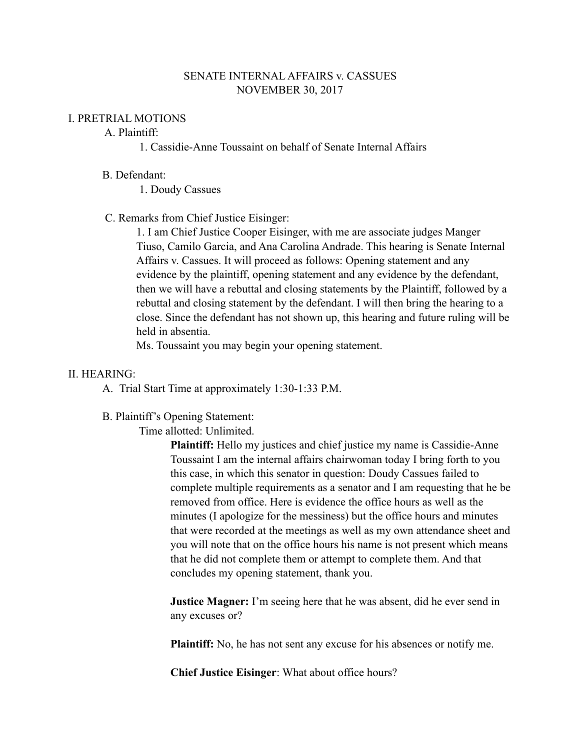## SENATE INTERNAL AFFAIRS v. CASSUES NOVEMBER 30, 2017

### I. PRETRIAL MOTIONS

# A. Plaintiff:

1. Cassidie-Anne Toussaint on behalf of Senate Internal Affairs

#### B. Defendant:

1. Doudy Cassues

## C. Remarks from Chief Justice Eisinger:

1. I am Chief Justice Cooper Eisinger, with me are associate judges Manger Tiuso, Camilo Garcia, and Ana Carolina Andrade. This hearing is Senate Internal Affairs v. Cassues. It will proceed as follows: Opening statement and any evidence by the plaintiff, opening statement and any evidence by the defendant, then we will have a rebuttal and closing statements by the Plaintiff, followed by a rebuttal and closing statement by the defendant. I will then bring the hearing to a close. Since the defendant has not shown up, this hearing and future ruling will be held in absentia.

Ms. Toussaint you may begin your opening statement.

### II. HEARING:

A. Trial Start Time at approximately 1:30-1:33 P.M.

#### B. Plaintiff's Opening Statement:

Time allotted: Unlimited.

**Plaintiff:** Hello my justices and chief justice my name is Cassidie-Anne Toussaint I am the internal affairs chairwoman today I bring forth to you this case, in which this senator in question: Doudy Cassues failed to complete multiple requirements as a senator and I am requesting that he be removed from office. Here is evidence the office hours as well as the minutes (I apologize for the messiness) but the office hours and minutes that were recorded at the meetings as well as my own attendance sheet and you will note that on the office hours his name is not present which means that he did not complete them or attempt to complete them. And that concludes my opening statement, thank you.

**Justice Magner:** I'm seeing here that he was absent, did he ever send in any excuses or?

**Plaintiff:** No, he has not sent any excuse for his absences or notify me.

**Chief Justice Eisinger**: What about office hours?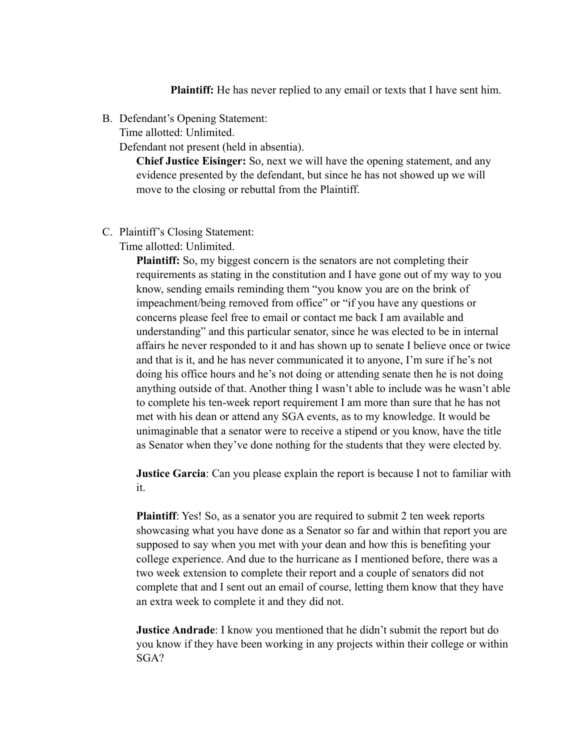**Plaintiff:** He has never replied to any email or texts that I have sent him.

B. Defendant's Opening Statement:

Time allotted: Unlimited.

Defendant not present (held in absentia).

**Chief Justice Eisinger:** So, next we will have the opening statement, and any evidence presented by the defendant, but since he has not showed up we will move to the closing or rebuttal from the Plaintiff.

C. Plaintiff's Closing Statement:

Time allotted: Unlimited.

**Plaintiff:** So, my biggest concern is the senators are not completing their requirements as stating in the constitution and I have gone out of my way to you know, sending emails reminding them "you know you are on the brink of impeachment/being removed from office" or "if you have any questions or concerns please feel free to email or contact me back I am available and understanding" and this particular senator, since he was elected to be in internal affairs he never responded to it and has shown up to senate I believe once or twice and that is it, and he has never communicated it to anyone, I'm sure if he's not doing his office hours and he's not doing or attending senate then he is not doing anything outside of that. Another thing I wasn't able to include was he wasn't able to complete his ten-week report requirement I am more than sure that he has not met with his dean or attend any SGA events, as to my knowledge. It would be unimaginable that a senator were to receive a stipend or you know, have the title as Senator when they've done nothing for the students that they were elected by.

**Justice Garcia**: Can you please explain the report is because I not to familiar with it.

**Plaintiff**: Yes! So, as a senator you are required to submit 2 ten week reports showcasing what you have done as a Senator so far and within that report you are supposed to say when you met with your dean and how this is benefiting your college experience. And due to the hurricane as I mentioned before, there was a two week extension to complete their report and a couple of senators did not complete that and I sent out an email of course, letting them know that they have an extra week to complete it and they did not.

**Justice Andrade**: I know you mentioned that he didn't submit the report but do you know if they have been working in any projects within their college or within SGA?